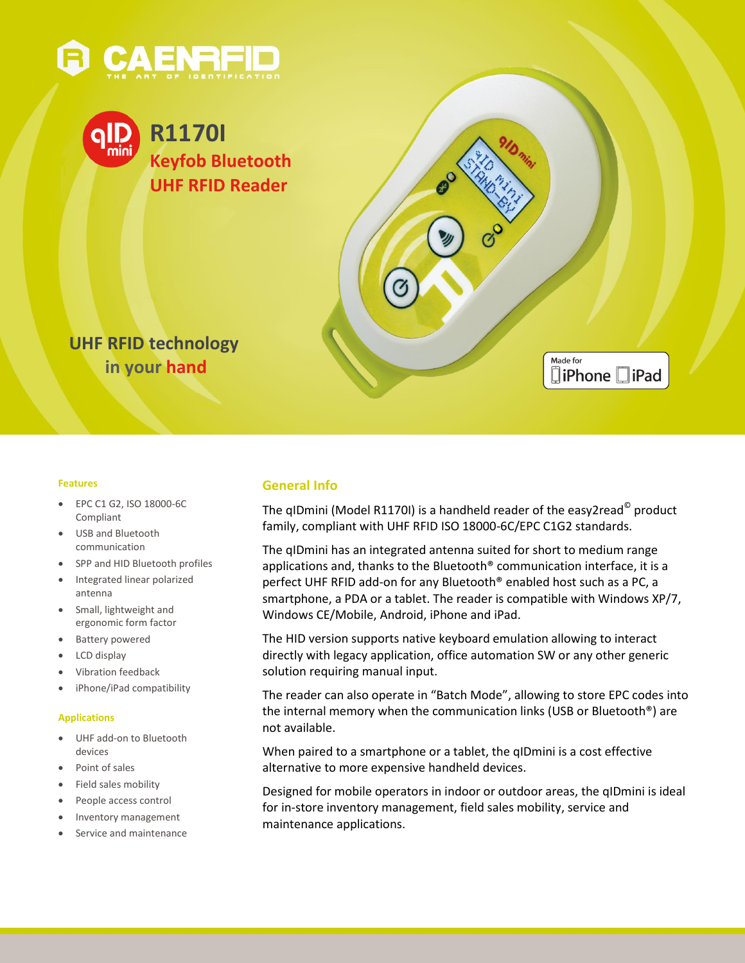





### **Features**

- EPC C1 G2, ISO 18000-6C Compliant
- USB and Bluetooth communication
- SPP and HID Bluetooth profiles
- Integrated linear polarized antenna
- Small, lightweight and ergonomic form factor
- Battery powered
- LCD display
- Vibration feedback
- iPhone/iPad compatibility

#### **Applications**

- UHF add-on to Bluetooth devices
- Point of sales
- Field sales mobility
- People access control
- Inventory management
- Service and maintenance

### **General Info**

The qIDmini (Model R1170I) is a handheld reader of the easy2read $^{\circ}$  product family, compliant with UHF RFID ISO 18000-6C/EPC C1G2 standards.

Made for

**□iPhone** □iPad

The qIDmini has an integrated antenna suited for short to medium range applications and, thanks to the Bluetooth® communication interface, it is a perfect UHF RFID add-on for any Bluetooth® enabled host such as a PC, a smartphone, a PDA or a tablet. The reader is compatible with Windows XP/7, Windows CE/Mobile, Android, iPhone and iPad.

The HID version supports native keyboard emulation allowing to interact directly with legacy application, office automation SW or any other generic solution requiring manual input.

The reader can also operate in "Batch Mode", allowing to store EPC codes into the internal memory when the communication links (USB or Bluetooth®) are not available.

When paired to a smartphone or a tablet, the qIDmini is a cost effective alternative to more expensive handheld devices.

Designed for mobile operators in indoor or outdoor areas, the qIDmini is ideal for in-store inventory management, field sales mobility, service and maintenance applications.